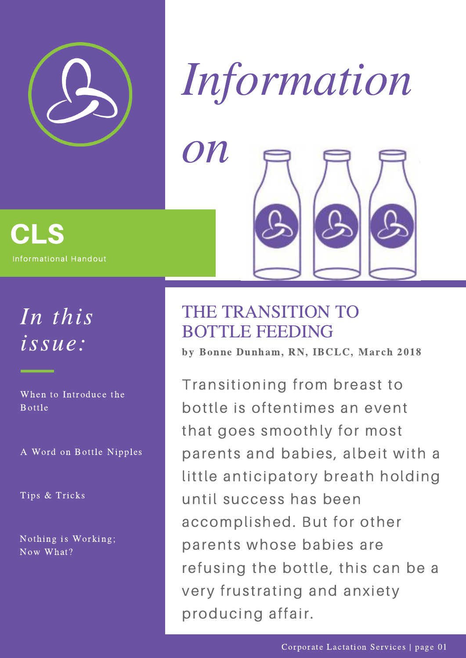



#### CLS Informational Handout

# In this issue:

When to Introduce the Bottle

A Word on Bottle Nipples

Tips & Tricks

Nothing is Working; Now What?

### THE TRANSITION TO BOTTLE FEEDING

by Bonne Dunham, RN, IBCLC, March 2018

Transitioning from breast to bottle is oftentimes an event that goes smoothly for most parents and babies, albeit with a little anticipatory breath holding until success has been accomplished. But for other parents whose babies are refusing the bottle, this can be a very frustrating and anxiety producing affair.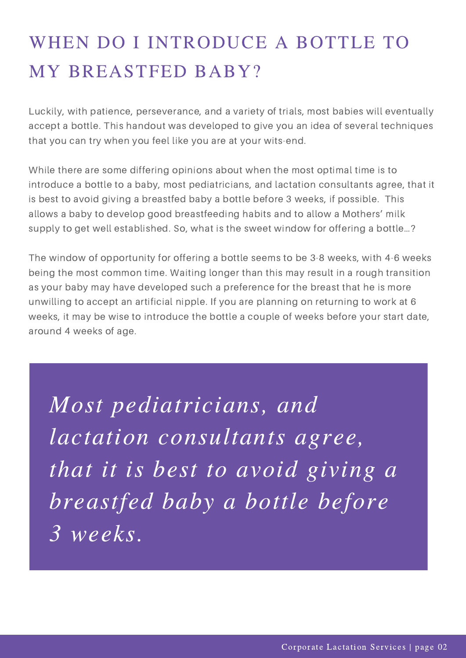## WHEN DO I INTRODUCE A BOTTLE TO MY BREASTFED BABY?

Luckily, with patience, perseverance, and a variety of trials, most babies will eventually accept a bottle. This handout was developed to give you an idea of several techniques that you can try when you feel like you are at your wits-end.

While there are some differing opinions about when the most optimal time is to introduce a bottle to a baby, most pediatricians, and lactation consultants agree, that it is best to avoid giving a breastfed baby a bottle before 3 weeks, if possible. This allows a baby to develop good breastfeeding habits and to allow a Mothers' milk supply to get well established. So, what is the sweet window for offering a bottle…?

The window of opportunity for offering a bottle seems to be 3-8 weeks, with 4-6 weeks being the most common time. Waiting longer than this may result in a rough transition as your baby may have developed such a preference for the breast that he is more unwilling to accept an artificial nipple. If you are planning on returning to work at 6 weeks, it may be wise to introduce the bottle a couple of weeks before your start date, around 4 weeks of age.

Most pediatricians, and lactation consultants agree, that it is best to avoid giving a breastfed baby a bottle before 3 weeks.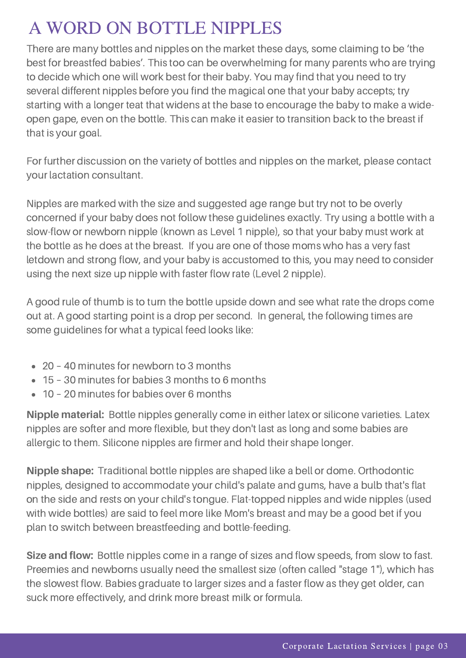### A WORD ON BOTTLE NIPPLES

There are many bottles and nipples on the market these days, some claiming to be 'the best for breastfed babies'. This too can be overwhelming for many parents who are trying to decide which one will work best for their baby. You may find that you need to try several different nipples before you find the magical one that your baby accepts; try starting with a longer teat that widens at the base to encourage the baby to make a wideopen gape, even on the bottle. This can make it easier to transition back to the breast if that is your goal.

For further discussion on the variety of bottles and nipples on the market, please contact your lactation consultant.

Nipples are marked with the size and suggested age range but try not to be overly concerned if your baby does not follow these guidelines exactly. Try using a bottle with a slow-flow or newborn nipple (known as Level 1 nipple), so that your baby must work at the bottle as he does at the breast. If you are one of those moms who has a very fast letdown and strong flow, and your baby is accustomed to this, you may need to consider using the next size up nipple with faster flow rate (Level 2 nipple).

A good rule of thumb is to turn the bottle upside down and see what rate the drops come out at. A good starting point is a drop per second. In general, the following times are some guidelines for what a typical feed looks like:

- 20 40 minutes for [newborn](https://ccli.org/) to 3 months
- 15 30 minutes for babies 3 months to 6 months
- 10 20 minutes for babies over 6 months

**Nipple material:** Bottle nipples generally come in either latex or silicone varieties. Latex nipples are softer and more flexible, but they don't last as long and some babies are allergic to them. Silicone nipples are firmer and hold their shape longer.

**Nipple shape:** Traditional bottle nipples are shaped like a bell or dome. Orthodontic nipples, designed to accommodate your child's palate and gums, have a bulb that's flat on the side and rests on your child's tongue. Flat-topped nipples and wide nipples (used with wide bottles) are said to feel more like Mom's breast and may be a good bet if you plan to switch between breastfeeding and [bottle-feeding.](https://ccli.org/)

**Size and flow:** Bottle nipples come in a range of sizes and flow speeds, from slow to fast. Preemies and newborns usually need the smallest size (often called "stage 1"), which has the slowest flow. Babies graduate to larger sizes and a faster flow as they get older, can suck more effectively, and drink more breast milk or formula.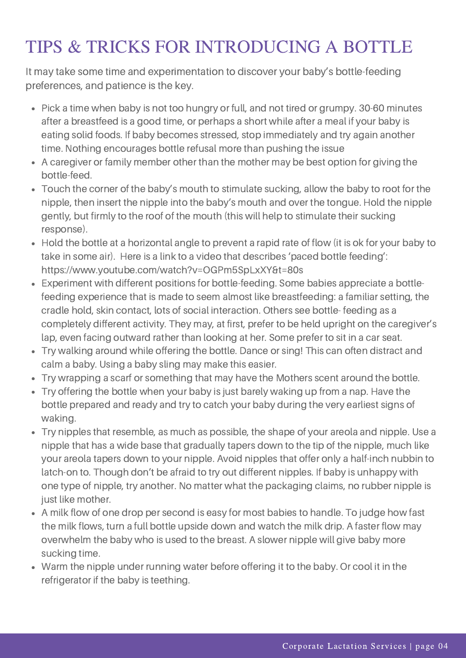### TIPS & TRICKS FOR INTRODUCING A BOTTLE

It may take some time and [experimentation](https://ccli.org/) to discover your baby's bottle-feeding preferences, and patience is the key.

- Pick a time when baby is not too hungry or full, and not tired or grumpy. 30-60 minutes after a breastfeed is a good time, or perhaps a short while after a meal if your baby is eating solid foods. If baby becomes stressed, stop immediately and try again another time. Nothing encourages bottle refusal more than pushing the issue
- A caregiver or family member other than the mother may be best option for giving the bottle-feed.
- Touch the corner of the baby's mouth to stimulate sucking, allow the baby to root for the nipple, then insert the nipple into the baby's mouth and over the tongue. Hold the nipple gently, but firmly to the roof of the mouth (this will help to stimulate their sucking response).
- Hold the bottle at a horizontal angle to prevent a rapid rate of flow (it is ok for your baby to take in some air). Here is a link to a video that describes 'paced bottle feeding': [https://www.youtube.com/watch?v=OGPm5SpLxXY&t=80s](https://ccli.org/)
- Experiment with different positions for bottle-feeding. Some babies appreciate a bottlefeeding experience that is made to seem almost like breastfeeding: a familiar setting, the cradle hold, skin contact, lots of social interaction. Others see bottle- feeding as a completely different activity. They may, at first, prefer to be held upright on the caregiver's lap, even facing outward rather than looking at her. Some prefer to sit in a car seat.
- Try walking around while offering the bottle. Dance or sing! This can often distract and calm a baby. Using a baby sling may make this easier.
- Try wrapping a scarf or something that may have the Mothers scent around the bottle.
- Try offering the bottle when your baby is just barely waking up from a nap. Have the bottle prepared and ready and try to catch your baby during the very earliest signs of waking.
- Try nipples that resemble, as much as possible, the shape of your areola and nipple. Use a nipple that has a wide base that gradually tapers down to the tip of the nipple, much like your areola tapers down to your nipple. Avoid nipples that offer only a half-inch nubbin to latch-on to. Though don't be afraid to try out different nipples. If baby is unhappy with one type of nipple, try another. No matter what the packaging claims, no rubber nipple is just like mother.
- A milk flow of one drop per second is easy for most babies to handle. To judge how fast the milk flows, turn a full bottle upside down and watch the milk drip. A faster flow may overwhelm the baby who is used to the breast. A slower nipple will give baby more sucking time.
- Warm the nipple under running water before offering it to the baby. Or cool it in the refrigerator if the baby is teething.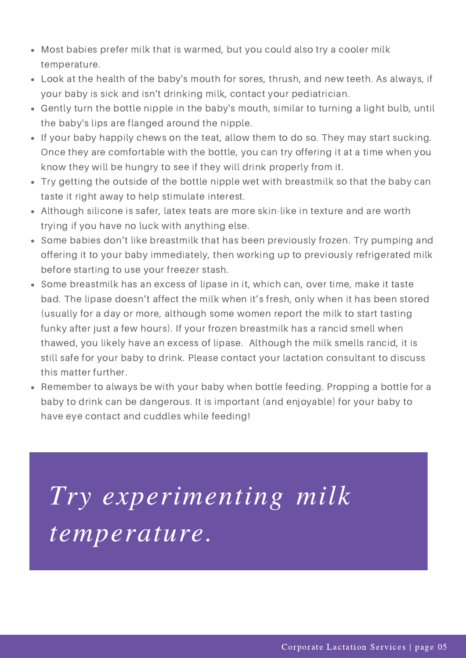- Most babies prefer milk that is warmed, but you could also try a cooler milk temperature.
- Look at the health of the baby's mouth for sores, thrush, and new teeth. As always, if your baby is sick and isn't drinking milk, contact your pediatrician.
- Gently turn the bottle nipple in the baby's mouth, similar to turning a light bulb, until the baby's lips are flanged around the nipple.
- If your baby happily chews on the teat, allow them to do so. They may start sucking. Once they are comfortable with the bottle, you can try offering it at a time when you know they will be hungry to see if they will drink properly from it.
- Try getting the outside of the bottle nipple wet with breastmilk so that the baby can taste it right away to help stimulate interest.
- Although silicone is safer, latex teats are more skin-like in texture and are worth trying if you have no luck with anything else.
- Some babies don't like breastmilk that has been previously frozen. Try pumping and offering it to your baby immediately, then working up to previously refrigerated milk before starting to use your freezer stash.
- Some breastmilk has an excess of lipase in it, which can, over time, make it taste bad. The lipase doesn't affect the milk when it's fresh, only when it has been stored (usually for a day or more, although some women report the milk to start tasting funky after just a few hours). If your frozen breastmilk has a rancid smell when thawed, you likely have an excess of lipase. Although the milk smells rancid, it is still safe for your baby to drink. Please contact your lactation consultant to discuss this matter further.
- Remember to always be with your baby when bottle feeding. Propping a bottle for a baby to drink can be dangerous. It is important (and enjoyable) for your baby to have eye contact and cuddles while feeding!

Try experimenting milk temperature.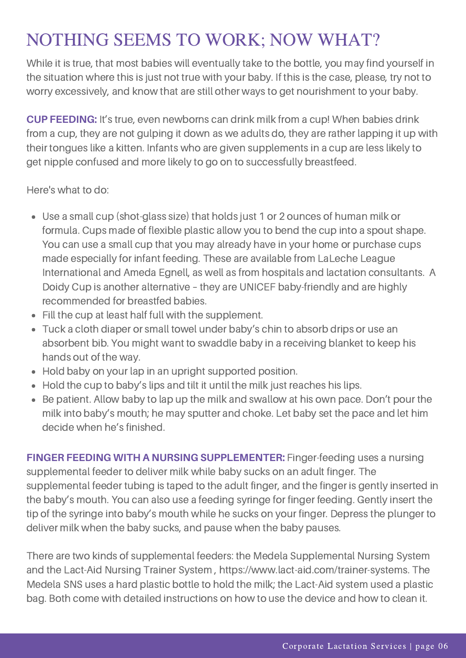### NOTHING SEEMS TO WORK; NOW WHAT?

While it is true, that most babies will eventually take to the bottle, you may find yourself in the situation where this is just not true with your baby. If this is the case, please, try not to worry excessively, and know that are still other ways to get nourishment to your baby.

**CUP FEEDING:** It's true, even newborns can drink milk from a cup! When babies drink from a cup, they are not gulping it down as we adults do, they are rather lapping it up with their tongues like a kitten. Infants who are given supplements in a cup are less likely to get nipple confused and more likely to go on to successfully breastfeed.

Here's what to do:

- Use a small cup (shot-glass size) that holds just 1 or 2 ounces of human milk or formula. Cups made of flexible plastic allow you to bend the cup into a spout shape. You can use a small cup that you may already have in your home or purchase cups made especially for infant feeding. These are available from LaLeche League International and Ameda Egnell, as well as from hospitals and lactation consultants. A Doidy Cup is another alternative – they are UNICEF [baby-friendly](https://ccli.org/) and are highly recommended for breastfed babies.
- Fill the cup at least half full with the supplement.
- Tuck a cloth diaper or small towel under baby's chin to absorb drips or use an absorbent bib. You might want to swaddle baby in a receiving blanket to keep his hands out of the way.
- Hold baby on your lap in an upright supported position.
- Hold the cup to baby's lips and tilt it until the milk just reaches his lips.
- Be patient. Allow baby to lap up the milk and swallow at his own pace. Don't pour the milk into baby's mouth; he may sputter and choke. Let baby set the pace and let him decide when he's finished.

**FINGER FEEDING WITH A NURSING SUPPLEMENTER:** Finger-feeding uses a nursing supplemental feeder to deliver milk while baby sucks on an adult finger. The supplemental feeder tubing is taped to the adult finger, and the finger is gently inserted in the baby's mouth. You can also use a feeding syringe for finger feeding. Gently insert the tip of the syringe into baby's mouth while he sucks on your finger. Depress the plunger to deliver milk when the baby sucks, and pause when the baby pauses.

There are two kinds of supplemental feeders: the Medela Supplemental Nursing System and the Lact-Aid Nursing Trainer System , [https://www.lact-aid.com/trainer-systems.](https://ccli.org/) The Medela SNS uses a hard plastic bottle to hold the milk; the Lact-Aid system used a plastic bag. Both come with detailed instructions on how to use the device and how to clean it.